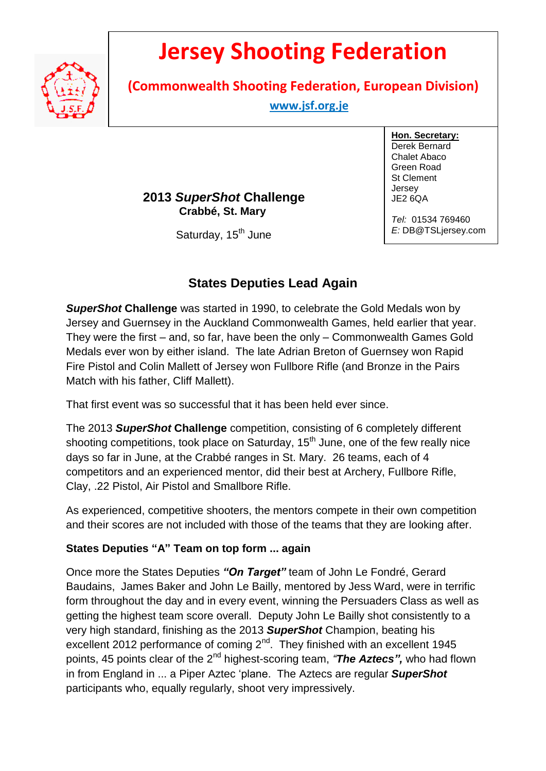

# **Jersey Shooting Federation**

**(Commonwealth Shooting Federation, European Division)**

 **www.jsf.org.je** 

## **2013** *SuperShot* **Challenge Crabbé, St. Mary**

Saturday, 15<sup>th</sup> June

**Hon. Secretary:** Derek Bernard Chalet Abaco Green Road St Clement Jersey JE2 6QA

*Tel:* 01534 769460 *E:* DB@TSLjersey.com

# **States Deputies Lead Again**

*SuperShot* **Challenge** was started in 1990, to celebrate the Gold Medals won by Jersey and Guernsey in the Auckland Commonwealth Games, held earlier that year. They were the first – and, so far, have been the only – Commonwealth Games Gold Medals ever won by either island. The late Adrian Breton of Guernsey won Rapid Fire Pistol and Colin Mallett of Jersey won Fullbore Rifle (and Bronze in the Pairs Match with his father, Cliff Mallett).

That first event was so successful that it has been held ever since.

The 2013 *SuperShot* **Challenge** competition, consisting of 6 completely different shooting competitions, took place on Saturday, 15<sup>th</sup> June, one of the few really nice days so far in June, at the Crabbé ranges in St. Mary. 26 teams, each of 4 competitors and an experienced mentor, did their best at Archery, Fullbore Rifle, Clay, .22 Pistol, Air Pistol and Smallbore Rifle.

As experienced, competitive shooters, the mentors compete in their own competition and their scores are not included with those of the teams that they are looking after.

### **States Deputies "A" Team on top form ... again**

Once more the States Deputies *"On Target"* team of John Le Fondré, Gerard Baudains, James Baker and John Le Bailly, mentored by Jess Ward, were in terrific form throughout the day and in every event, winning the Persuaders Class as well as getting the highest team score overall. Deputy John Le Bailly shot consistently to a very high standard, finishing as the 2013 *SuperShot* Champion, beating his excellent 2012 performance of coming  $2^{nd}$ . They finished with an excellent 1945 points, 45 points clear of the 2nd highest-scoring team, *"The Aztecs",* who had flown in from England in ... a Piper Aztec 'plane. The Aztecs are regular *SuperShot* participants who, equally regularly, shoot very impressively.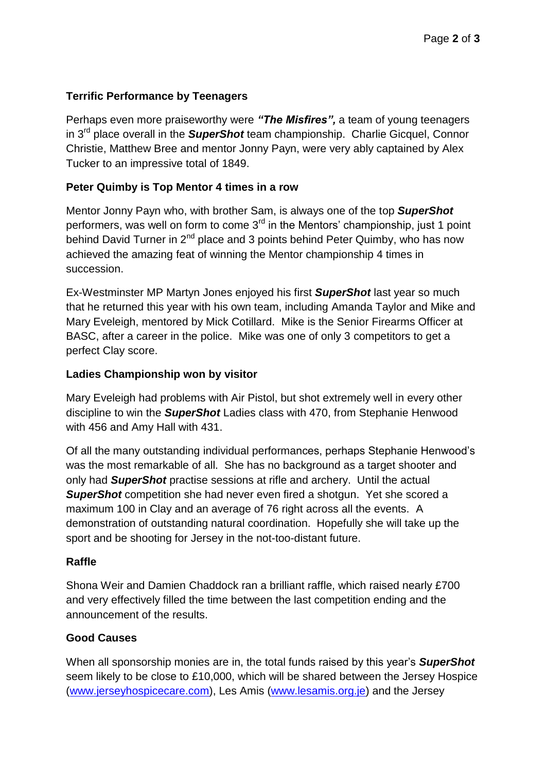#### **Terrific Performance by Teenagers**

Perhaps even more praiseworthy were *"The Misfires",* a team of young teenagers in 3 rd place overall in the *SuperShot* team championship. Charlie Gicquel, Connor Christie, Matthew Bree and mentor Jonny Payn, were very ably captained by Alex Tucker to an impressive total of 1849.

#### **Peter Quimby is Top Mentor 4 times in a row**

Mentor Jonny Payn who, with brother Sam, is always one of the top *SuperShot* performers, was well on form to come  $3<sup>rd</sup>$  in the Mentors' championship, just 1 point behind David Turner in  $2^{nd}$  place and 3 points behind Peter Quimby, who has now achieved the amazing feat of winning the Mentor championship 4 times in succession.

Ex-Westminster MP Martyn Jones enjoyed his first *SuperShot* last year so much that he returned this year with his own team, including Amanda Taylor and Mike and Mary Eveleigh, mentored by Mick Cotillard. Mike is the Senior Firearms Officer at BASC, after a career in the police. Mike was one of only 3 competitors to get a perfect Clay score.

#### **Ladies Championship won by visitor**

Mary Eveleigh had problems with Air Pistol, but shot extremely well in every other discipline to win the *SuperShot* Ladies class with 470, from Stephanie Henwood with 456 and Amy Hall with 431.

Of all the many outstanding individual performances, perhaps Stephanie Henwood's was the most remarkable of all. She has no background as a target shooter and only had *SuperShot* practise sessions at rifle and archery. Until the actual *SuperShot* competition she had never even fired a shotgun. Yet she scored a maximum 100 in Clay and an average of 76 right across all the events. A demonstration of outstanding natural coordination. Hopefully she will take up the sport and be shooting for Jersey in the not-too-distant future.

#### **Raffle**

Shona Weir and Damien Chaddock ran a brilliant raffle, which raised nearly £700 and very effectively filled the time between the last competition ending and the announcement of the results.

#### **Good Causes**

When all sponsorship monies are in, the total funds raised by this year's *SuperShot* seem likely to be close to £10,000, which will be shared between the Jersey Hospice [\(www.jerseyhospicecare.com\)](http://www.jerseyhospicecare.com/), Les Amis [\(www.lesamis.org.je\)](http://www.lesamis.org.je/) and the Jersey